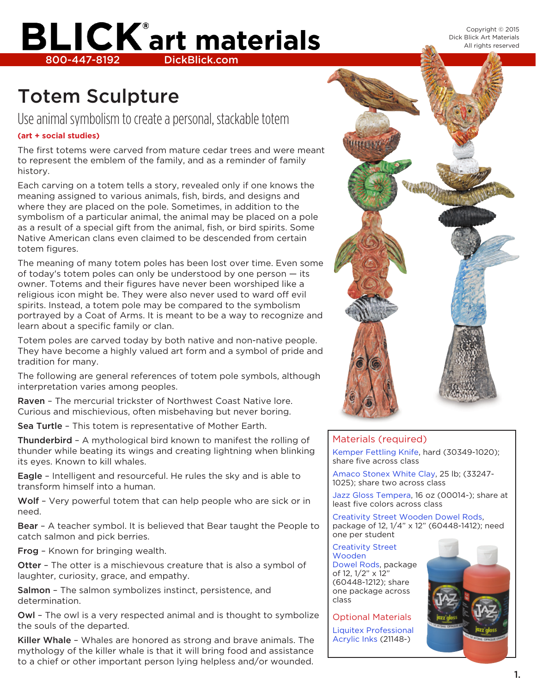Copyright © 2015 Dick Blick Art Materials All rights reserved

## **BLICK**<sup>®</sup> art materials 800-447-8192 DickBlick.com

### Totem Sculpture

### Use animal symbolism to create a personal, stackable totem

#### **(art + social studies)**

The first totems were carved from mature cedar trees and were meant to represent the emblem of the family, and as a reminder of family history.

Each carving on a totem tells a story, revealed only if one knows the meaning assigned to various animals, fish, birds, and designs and where they are placed on the pole. Sometimes, in addition to the symbolism of a particular animal, the animal may be placed on a pole as a result of a special gift from the animal, fish, or bird spirits. Some Native American clans even claimed to be descended from certain totem figures.

The meaning of many totem poles has been lost over time. Even some of today's totem poles can only be understood by one person — its owner. Totems and their figures have never been worshiped like a religious icon might be. They were also never used to ward off evil spirits. Instead, a totem pole may be compared to the symbolism portrayed by a Coat of Arms. It is meant to be a way to recognize and learn about a specific family or clan.

Totem poles are carved today by both native and non-native people. They have become a highly valued art form and a symbol of pride and tradition for many.

The following are general references of totem pole symbols, although interpretation varies among peoples.

Raven – The mercurial trickster of Northwest Coast Native lore. Curious and mischievious, often misbehaving but never boring.

Sea Turtle – This totem is representative of Mother Earth.

Thunderbird – A mythological bird known to manifest the rolling of thunder while beating its wings and creating lightning when blinking its eyes. Known to kill whales.

Eagle – Intelligent and resourceful. He rules the sky and is able to transform himself into a human.

Wolf - Very powerful totem that can help people who are sick or in need.

Bear – A teacher symbol. It is believed that Bear taught the People to catch salmon and pick berries.

Frog – Known for bringing wealth.

Otter - The otter is a mischievous creature that is also a symbol of laughter, curiosity, grace, and empathy.

Salmon – The salmon symbolizes instinct, persistence, and determination.

Owl – The owl is a very respected animal and is thought to symbolize the souls of the departed.

Killer Whale - Whales are honored as strong and brave animals. The mythology of the killer whale is that it will bring food and assistance to a chief or other important person lying helpless and/or wounded.



#### Materials (required)

[Kemper Fettling Knife](http://www.dickblick.com/products/kemper-fettling-knives/), hard (30349-1020); share five across class

[Amaco Stonex White Clay](http://www.dickblick.com/products/amaco-stonex-white-clay/), 25 lb; (33247- 1025); share two across class

[Jazz Gloss Tempera,](http://www.dickblick.com/products/creativity-street-wooden-dowel-rods/) 16 oz (00014-); share at least five colors across class

[Creativity Street Wooden Dowel Rods,](http://www.dickblick.com/products/creativity-street-wooden-dowel-rods/) package of 12, 1/4" x 12" (60448-1412); need one per student

Creativity Street Wooden Dowel Rods, package of 12, 1/2" x 12" (60448-1212); share one package across class

Optional Materials [Liquitex Professional](http://www.dickblick.com/products/liquitex-professional-acrylic-ink/)  [Acrylic Inks](http://www.dickblick.com/products/liquitex-professional-acrylic-ink/) (21148-)

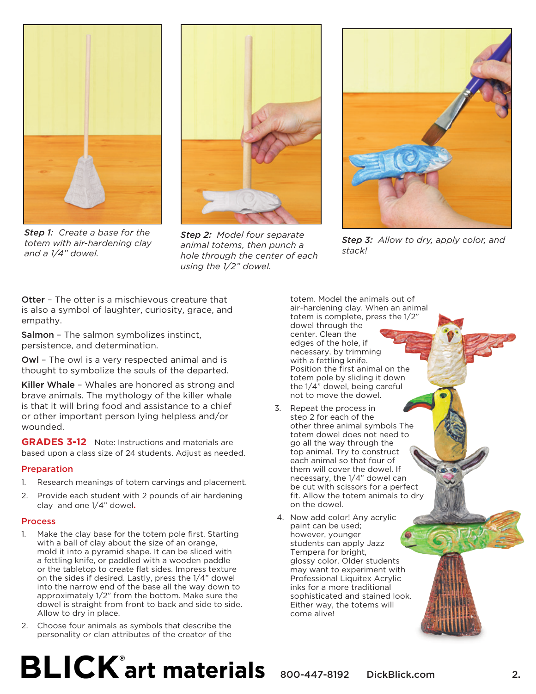

*Step 1: Create a base for the totem with air-hardening clay and a 1/4" dowel.*



*Step 2: Model four separate animal totems, then punch a hole through the center of each using the 1/2" dowel.*



*Step 3: Allow to dry, apply color, and stack!*

Otter – The otter is a mischievous creature that is also a symbol of laughter, curiosity, grace, and empathy.

Salmon – The salmon symbolizes instinct, persistence, and determination.

Owl – The owl is a very respected animal and is thought to symbolize the souls of the departed.

Killer Whale – Whales are honored as strong and brave animals. The mythology of the killer whale is that it will bring food and assistance to a chief or other important person lying helpless and/or wounded.

**GRADES 3-12** Note: Instructions and materials are based upon a class size of 24 students. Adjust as needed.

#### Preparation

- 1. Research meanings of totem carvings and placement.
- 2. Provide each student with 2 pounds of air hardening clay and one 1/4" dowel.

#### **Process**

- 1. Make the clay base for the totem pole first. Starting with a ball of clay about the size of an orange, mold it into a pyramid shape. It can be sliced with a fettling knife, or paddled with a wooden paddle or the tabletop to create flat sides. Impress texture on the sides if desired. Lastly, press the 1/4" dowel into the narrow end of the base all the way down to approximately 1/2" from the bottom. Make sure the dowel is straight from front to back and side to side. Allow to dry in place.
- 2. Choose four animals as symbols that describe the [personality or clan attributes of the creator of the](http://www.dickblick.com)

totem. Model the animals out of air-hardening clay. When an animal totem is complete, press the 1/2" dowel through the center. Clean the edges of the hole, if necessary, by trimming with a fettling knife. Position the first animal on the totem pole by sliding it down the 1/4" dowel, being careful not to move the dowel.

- 3. Repeat the process in step 2 for each of the other three animal symbols The totem dowel does not need to go all the way through the top animal. Try to construct each animal so that four of them will cover the dowel. If necessary, the 1/4" dowel can be cut with scissors for a perfect fit. Allow the totem animals to dry on the dowel.
- 4. Now add color! Any acrylic paint can be used; however, younger students can apply Jazz Tempera for bright, glossy color. Older students may want to experiment with Professional Liquitex Acrylic inks for a more traditional sophisticated and stained look. Either way, the totems will come alive!

# $\mathbf{BLICK}^*$ art materials  $_{800-447-8192}$  DickBlick.com 2.